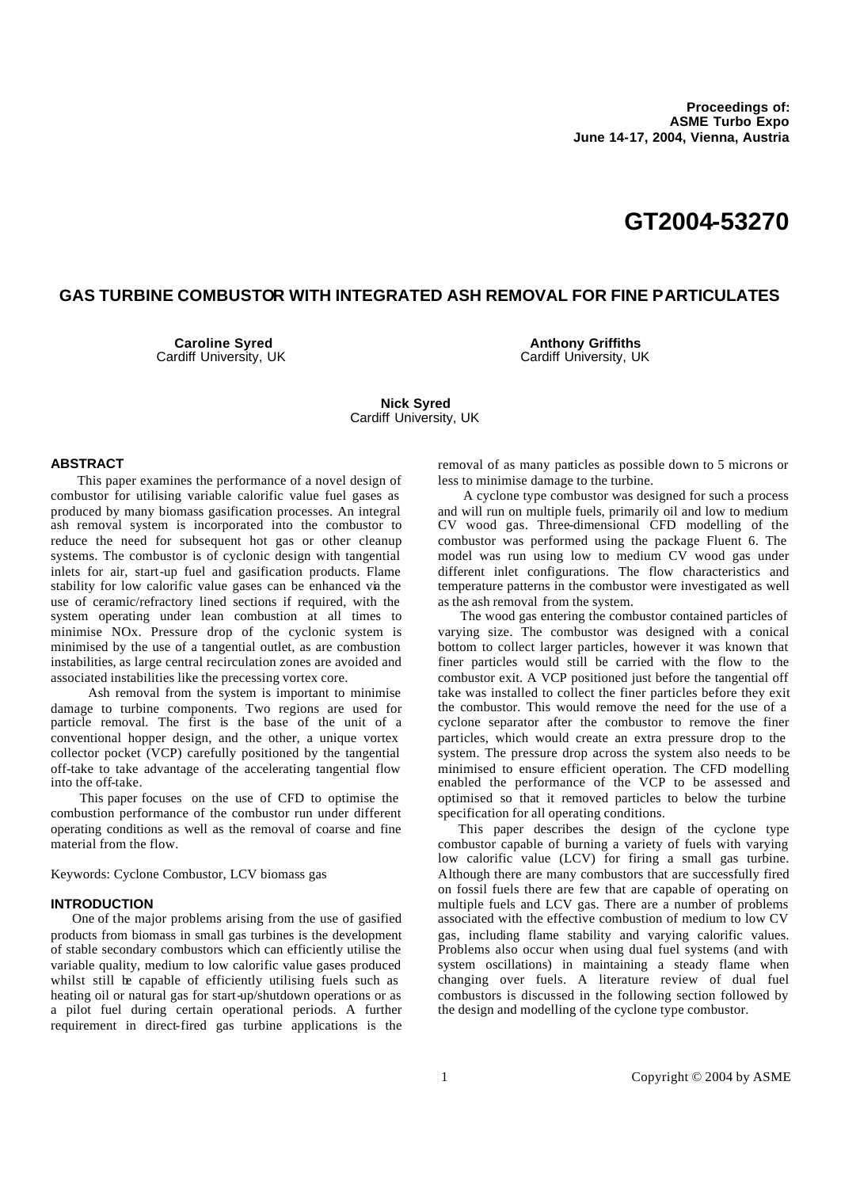# **GT2004-53270**

## **GAS TURBINE COMBUSTOR WITH INTEGRATED ASH REMOVAL FOR FINE PARTICULATES**

**Caroline Syred** Cardiff University, UK

**Anthony Griffiths** Cardiff University, UK

**Nick Syred** Cardiff University, UK

#### **ABSTRACT**

 This paper examines the performance of a novel design of combustor for utilising variable calorific value fuel gases as produced by many biomass gasification processes. An integral ash removal system is incorporated into the combustor to reduce the need for subsequent hot gas or other cleanup systems. The combustor is of cyclonic design with tangential inlets for air, start-up fuel and gasification products. Flame stability for low calorific value gases can be enhanced via the use of ceramic/refractory lined sections if required, with the system operating under lean combustion at all times to minimise NOx. Pressure drop of the cyclonic system is minimised by the use of a tangential outlet, as are combustion instabilities, as large central recirculation zones are avoided and associated instabilities like the precessing vortex core.

 Ash removal from the system is important to minimise damage to turbine components. Two regions are used for particle removal. The first is the base of the unit of a conventional hopper design, and the other, a unique vortex collector pocket (VCP) carefully positioned by the tangential off-take to take advantage of the accelerating tangential flow into the off-take.

 This paper focuses on the use of CFD to optimise the combustion performance of the combustor run under different operating conditions as well as the removal of coarse and fine material from the flow.

Keywords: Cyclone Combustor, LCV biomass gas

### **INTRODUCTION**

 One of the major problems arising from the use of gasified products from biomass in small gas turbines is the development of stable secondary combustors which can efficiently utilise the variable quality, medium to low calorific value gases produced whilst still be capable of efficiently utilising fuels such as heating oil or natural gas for start-up/shutdown operations or as a pilot fuel during certain operational periods. A further requirement in direct-fired gas turbine applications is the removal of as many particles as possible down to 5 microns or less to minimise damage to the turbine.

 A cyclone type combustor was designed for such a process and will run on multiple fuels, primarily oil and low to medium CV wood gas. Three-dimensional CFD modelling of the combustor was performed using the package Fluent 6. The model was run using low to medium CV wood gas under different inlet configurations. The flow characteristics and temperature patterns in the combustor were investigated as well as the ash removal from the system.

 The wood gas entering the combustor contained particles of varying size. The combustor was designed with a conical bottom to collect larger particles, however it was known that finer particles would still be carried with the flow to the combustor exit. A VCP positioned just before the tangential off take was installed to collect the finer particles before they exit the combustor. This would remove the need for the use of a cyclone separator after the combustor to remove the finer particles, which would create an extra pressure drop to the system. The pressure drop across the system also needs to be minimised to ensure efficient operation. The CFD modelling enabled the performance of the VCP to be assessed and optimised so that it removed particles to below the turbine specification for all operating conditions.

 This paper describes the design of the cyclone type combustor capable of burning a variety of fuels with varying low calorific value (LCV) for firing a small gas turbine. Although there are many combustors that are successfully fired on fossil fuels there are few that are capable of operating on multiple fuels and LCV gas. There are a number of problems associated with the effective combustion of medium to low CV gas, including flame stability and varying calorific values. Problems also occur when using dual fuel systems (and with system oscillations) in maintaining a steady flame when changing over fuels. A literature review of dual fuel combustors is discussed in the following section followed by the design and modelling of the cyclone type combustor.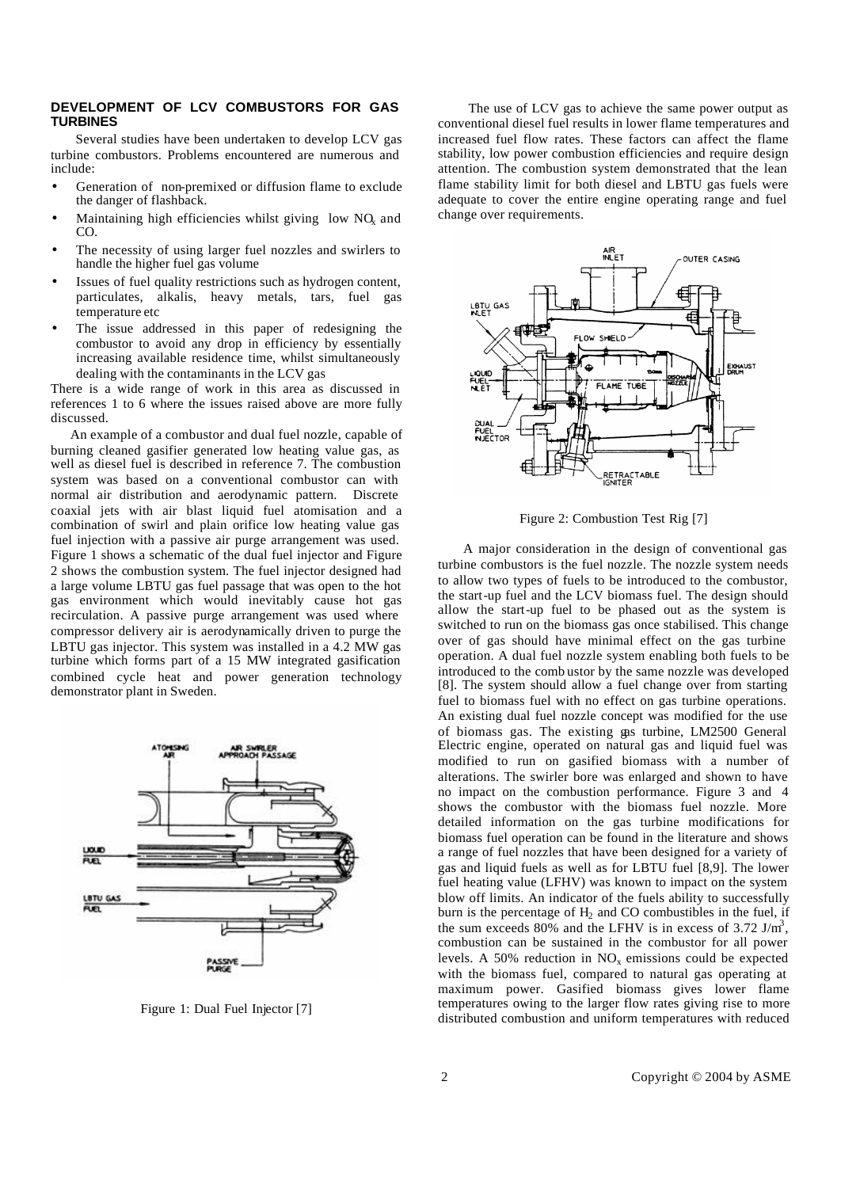## **DEVELOPMENT OF LCV COMBUSTORS FOR GAS TURBINES**

 Several studies have been undertaken to develop LCV gas turbine combustors. Problems encountered are numerous and include:

- Generation of non-premixed or diffusion flame to exclude the danger of flashback.
- Maintaining high efficiencies whilst giving low  $NQ<sub>x</sub>$  and CO.
- The necessity of using larger fuel nozzles and swirlers to handle the higher fuel gas volume
- Issues of fuel quality restrictions such as hydrogen content, particulates, alkalis, heavy metals, tars, fuel gas temperature etc
- The issue addressed in this paper of redesigning the combustor to avoid any drop in efficiency by essentially increasing available residence time, whilst simultaneously dealing with the contaminants in the LCV gas

There is a wide range of work in this area as discussed in references 1 to 6 where the issues raised above are more fully discussed.

 An example of a combustor and dual fuel nozzle, capable of burning cleaned gasifier generated low heating value gas, as well as diesel fuel is described in reference 7. The combustion system was based on a conventional combustor can with normal air distribution and aerodynamic pattern. Discrete coaxial jets with air blast liquid fuel atomisation and a combination of swirl and plain orifice low heating value gas fuel injection with a passive air purge arrangement was used. Figure 1 shows a schematic of the dual fuel injector and Figure 2 shows the combustion system. The fuel injector designed had a large volume LBTU gas fuel passage that was open to the hot gas environment which would inevitably cause hot gas recirculation. A passive purge arrangement was used where compressor delivery air is aerodynamically driven to purge the LBTU gas injector. This system was installed in a 4.2 MW gas turbine which forms part of a 15 MW integrated gasification combined cycle heat and power generation technology demonstrator plant in Sweden.



Figure 1: Dual Fuel Injector [7]

 The use of LCV gas to achieve the same power output as conventional diesel fuel results in lower flame temperatures and increased fuel flow rates. These factors can affect the flame stability, low power combustion efficiencies and require design attention. The combustion system demonstrated that the lean flame stability limit for both diesel and LBTU gas fuels were adequate to cover the entire engine operating range and fuel change over requirements.



Figure 2: Combustion Test Rig [7]

 A major consideration in the design of conventional gas turbine combustors is the fuel nozzle. The nozzle system needs to allow two types of fuels to be introduced to the combustor, the start-up fuel and the LCV biomass fuel. The design should allow the start-up fuel to be phased out as the system is switched to run on the biomass gas once stabilised. This change over of gas should have minimal effect on the gas turbine operation. A dual fuel nozzle system enabling both fuels to be introduced to the comb ustor by the same nozzle was developed [8]. The system should allow a fuel change over from starting fuel to biomass fuel with no effect on gas turbine operations. An existing dual fuel nozzle concept was modified for the use of biomass gas. The existing gas turbine, LM2500 General Electric engine, operated on natural gas and liquid fuel was modified to run on gasified biomass with a number of alterations. The swirler bore was enlarged and shown to have no impact on the combustion performance. Figure 3 and 4 shows the combustor with the biomass fuel nozzle. More detailed information on the gas turbine modifications for biomass fuel operation can be found in the literature and shows a range of fuel nozzles that have been designed for a variety of gas and liquid fuels as well as for LBTU fuel [8,9]. The lower fuel heating value (LFHV) was known to impact on the system blow off limits. An indicator of the fuels ability to successfully burn is the percentage of  $H_2$  and CO combustibles in the fuel, if the sum exceeds 80% and the LFHV is in excess of 3.72 J/m<sup>3</sup>, combustion can be sustained in the combustor for all power levels. A 50% reduction in  $NO<sub>x</sub>$  emissions could be expected with the biomass fuel, compared to natural gas operating at maximum power. Gasified biomass gives lower flame temperatures owing to the larger flow rates giving rise to more distributed combustion and uniform temperatures with reduced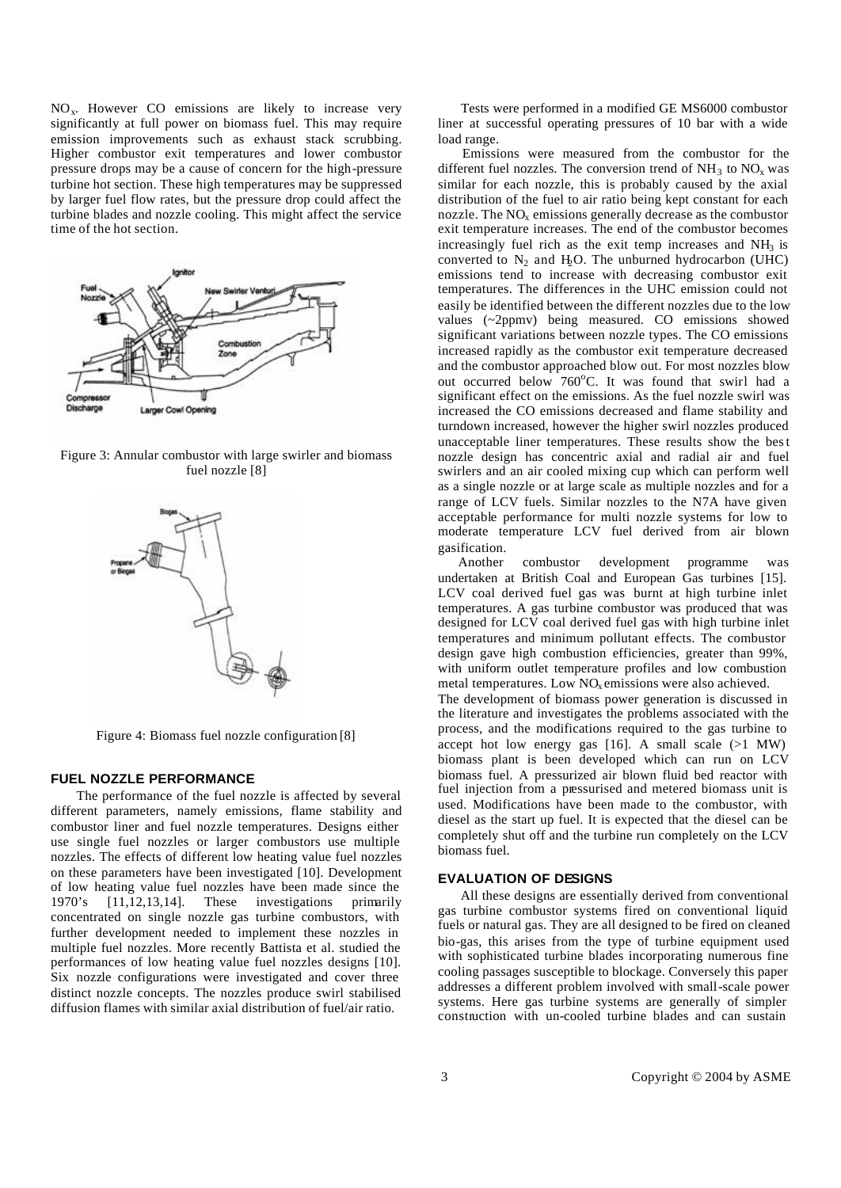$NO<sub>x</sub>$ . However CO emissions are likely to increase very significantly at full power on biomass fuel. This may require emission improvements such as exhaust stack scrubbing. Higher combustor exit temperatures and lower combustor pressure drops may be a cause of concern for the high-pressure turbine hot section. These high temperatures may be suppressed by larger fuel flow rates, but the pressure drop could affect the turbine blades and nozzle cooling. This might affect the service time of the hot section.

![](_page_2_Figure_1.jpeg)

Figure 3: Annular combustor with large swirler and biomass fuel nozzle [8]

![](_page_2_Figure_3.jpeg)

Figure 4: Biomass fuel nozzle configuration [8]

## **FUEL NOZZLE PERFORMANCE**

 The performance of the fuel nozzle is affected by several different parameters, namely emissions, flame stability and combustor liner and fuel nozzle temperatures. Designs either use single fuel nozzles or larger combustors use multiple nozzles. The effects of different low heating value fuel nozzles on these parameters have been investigated [10]. Development of low heating value fuel nozzles have been made since the 1970's [11,12,13,14]. These investigations primarily concentrated on single nozzle gas turbine combustors, with further development needed to implement these nozzles in multiple fuel nozzles. More recently Battista et al. studied the performances of low heating value fuel nozzles designs [10]. Six nozzle configurations were investigated and cover three distinct nozzle concepts. The nozzles produce swirl stabilised diffusion flames with similar axial distribution of fuel/air ratio.

 Tests were performed in a modified GE MS6000 combustor liner at successful operating pressures of 10 bar with a wide load range.

 Emissions were measured from the combustor for the different fuel nozzles. The conversion trend of  $NH_3$  to  $NO<sub>x</sub>$  was similar for each nozzle, this is probably caused by the axial distribution of the fuel to air ratio being kept constant for each nozzle. The  $NO<sub>x</sub>$  emissions generally decrease as the combustor exit temperature increases. The end of the combustor becomes increasingly fuel rich as the exit temp increases and  $NH<sub>3</sub>$  is converted to  $N_2$  and  $H_2O$ . The unburned hydrocarbon (UHC) emissions tend to increase with decreasing combustor exit temperatures. The differences in the UHC emission could not easily be identified between the different nozzles due to the low values (~2ppmv) being measured. CO emissions showed significant variations between nozzle types. The CO emissions increased rapidly as the combustor exit temperature decreased and the combustor approached blow out. For most nozzles blow out occurred below 760°C. It was found that swirl had a significant effect on the emissions. As the fuel nozzle swirl was increased the CO emissions decreased and flame stability and turndown increased, however the higher swirl nozzles produced unacceptable liner temperatures. These results show the best nozzle design has concentric axial and radial air and fuel swirlers and an air cooled mixing cup which can perform well as a single nozzle or at large scale as multiple nozzles and for a range of LCV fuels. Similar nozzles to the N7A have given acceptable performance for multi nozzle systems for low to moderate temperature LCV fuel derived from air blown gasification.

 Another combustor development programme was undertaken at British Coal and European Gas turbines [15]. LCV coal derived fuel gas was burnt at high turbine inlet temperatures. A gas turbine combustor was produced that was designed for LCV coal derived fuel gas with high turbine inlet temperatures and minimum pollutant effects. The combustor design gave high combustion efficiencies, greater than 99%, with uniform outlet temperature profiles and low combustion metal temperatures. Low  $NO<sub>x</sub>$  emissions were also achieved. The development of biomass power generation is discussed in the literature and investigates the problems associated with the process, and the modifications required to the gas turbine to accept hot low energy gas  $[16]$ . A small scale  $(>1$  MW) biomass plant is been developed which can run on LCV biomass fuel. A pressurized air blown fluid bed reactor with fuel injection from a pressurised and metered biomass unit is used. Modifications have been made to the combustor, with diesel as the start up fuel. It is expected that the diesel can be completely shut off and the turbine run completely on the LCV

#### **EVALUATION OF DESIGNS**

biomass fuel.

 All these designs are essentially derived from conventional gas turbine combustor systems fired on conventional liquid fuels or natural gas. They are all designed to be fired on cleaned bio-gas, this arises from the type of turbine equipment used with sophisticated turbine blades incorporating numerous fine cooling passages susceptible to blockage. Conversely this paper addresses a different problem involved with small-scale power systems. Here gas turbine systems are generally of simpler construction with un-cooled turbine blades and can sustain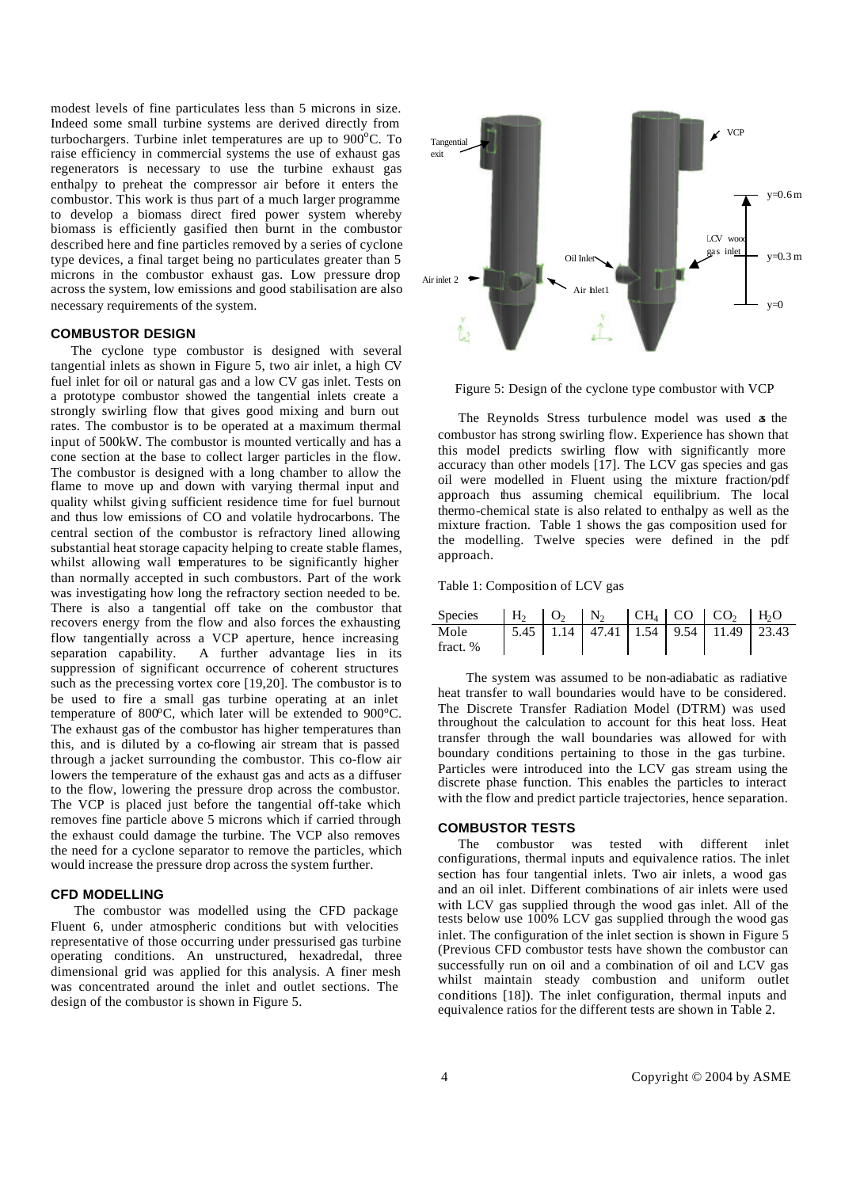modest levels of fine particulates less than 5 microns in size. Indeed some small turbine systems are derived directly from turbochargers. Turbine inlet temperatures are up to  $900^{\circ}$ C. To raise efficiency in commercial systems the use of exhaust gas regenerators is necessary to use the turbine exhaust gas enthalpy to preheat the compressor air before it enters the combustor. This work is thus part of a much larger programme to develop a biomass direct fired power system whereby biomass is efficiently gasified then burnt in the combustor described here and fine particles removed by a series of cyclone type devices, a final target being no particulates greater than 5 microns in the combustor exhaust gas. Low pressure drop across the system, low emissions and good stabilisation are also necessary requirements of the system.

## **COMBUSTOR DESIGN**

 The cyclone type combustor is designed with several tangential inlets as shown in Figure 5, two air inlet, a high CV fuel inlet for oil or natural gas and a low CV gas inlet. Tests on a prototype combustor showed the tangential inlets create a strongly swirling flow that gives good mixing and burn out rates. The combustor is to be operated at a maximum thermal input of 500kW. The combustor is mounted vertically and has a cone section at the base to collect larger particles in the flow. The combustor is designed with a long chamber to allow the flame to move up and down with varying thermal input and quality whilst giving sufficient residence time for fuel burnout and thus low emissions of CO and volatile hydrocarbons. The central section of the combustor is refractory lined allowing substantial heat storage capacity helping to create stable flames, whilst allowing wall temperatures to be significantly higher than normally accepted in such combustors. Part of the work was investigating how long the refractory section needed to be. There is also a tangential off take on the combustor that recovers energy from the flow and also forces the exhausting flow tangentially across a VCP aperture, hence increasing separation capability. A further advantage lies in its suppression of significant occurrence of coherent structures such as the precessing vortex core [19,20]. The combustor is to be used to fire a small gas turbine operating at an inlet temperature of  $800^{\circ}$ C, which later will be extended to  $900^{\circ}$ C. The exhaust gas of the combustor has higher temperatures than this, and is diluted by a co-flowing air stream that is passed through a jacket surrounding the combustor. This co-flow air lowers the temperature of the exhaust gas and acts as a diffuser to the flow, lowering the pressure drop across the combustor. The VCP is placed just before the tangential off-take which removes fine particle above 5 microns which if carried through the exhaust could damage the turbine. The VCP also removes the need for a cyclone separator to remove the particles, which would increase the pressure drop across the system further.

#### **CFD MODELLING**

 The combustor was modelled using the CFD package Fluent 6, under atmospheric conditions but with velocities representative of those occurring under pressurised gas turbine operating conditions. An unstructured, hexadredal, three dimensional grid was applied for this analysis. A finer mesh was concentrated around the inlet and outlet sections. The design of the combustor is shown in Figure 5.

![](_page_3_Figure_5.jpeg)

![](_page_3_Figure_6.jpeg)

 The Reynolds Stress turbulence model was used as the combustor has strong swirling flow. Experience has shown that this model predicts swirling flow with significantly more accuracy than other models [17]. The LCV gas species and gas oil were modelled in Fluent using the mixture fraction/pdf approach thus assuming chemical equilibrium. The local thermo-chemical state is also related to enthalpy as well as the mixture fraction. Table 1 shows the gas composition used for the modelling. Twelve species were defined in the pdf approach.

Table 1: Composition of LCV gas

| Species  |  |  | $H_2$ $O_2$ $N_2$ $CH_4$ $CO$ $CO_2$ $H_2$               |  |
|----------|--|--|----------------------------------------------------------|--|
| Mole     |  |  | $\mid$ 5.45   1.14   47.41   1.54   9.54   11.49   23.43 |  |
| fract. % |  |  |                                                          |  |

 The system was assumed to be non-adiabatic as radiative heat transfer to wall boundaries would have to be considered. The Discrete Transfer Radiation Model (DTRM) was used throughout the calculation to account for this heat loss. Heat transfer through the wall boundaries was allowed for with boundary conditions pertaining to those in the gas turbine. Particles were introduced into the LCV gas stream using the discrete phase function. This enables the particles to interact with the flow and predict particle trajectories, hence separation.

## **COMBUSTOR TESTS**

 The combustor was tested with different inlet configurations, thermal inputs and equivalence ratios. The inlet section has four tangential inlets. Two air inlets, a wood gas and an oil inlet. Different combinations of air inlets were used with LCV gas supplied through the wood gas inlet. All of the tests below use  $100\%$  LCV gas supplied through the wood gas inlet. The configuration of the inlet section is shown in Figure 5 (Previous CFD combustor tests have shown the combustor can successfully run on oil and a combination of oil and LCV gas whilst maintain steady combustion and uniform outlet conditions [18]). The inlet configuration, thermal inputs and equivalence ratios for the different tests are shown in Table 2.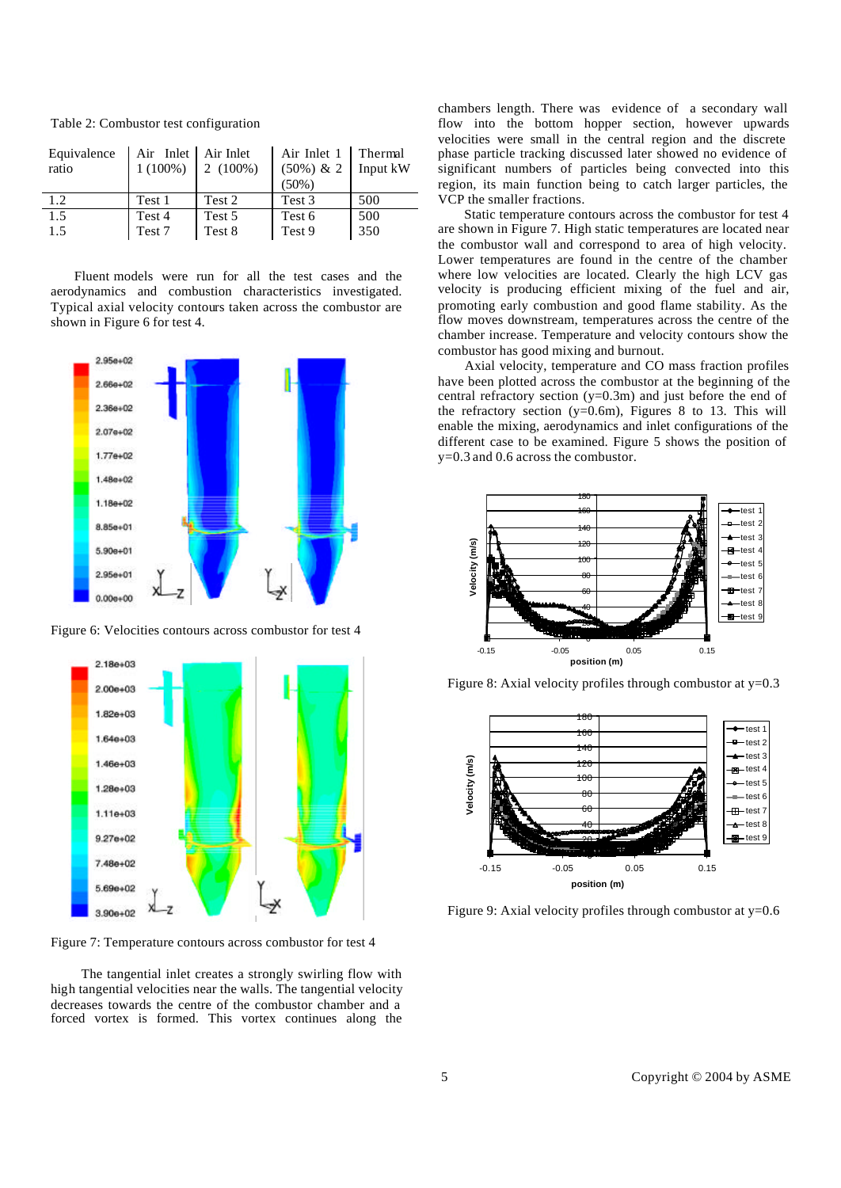| Equivalence<br>ratio | Air Inlet Air Inlet<br>$1(100\%)$ | $2(100\%)$ | Air Inlet 1   Thermal<br>$(50\%) \& 2$ | Input kW |
|----------------------|-----------------------------------|------------|----------------------------------------|----------|
|                      |                                   |            | $(50\%)$                               |          |
| 1.2.                 | Test 1                            | Test 2     | Test 3                                 | 500      |
| 1.5                  | Test 4                            | Test 5     | Test 6                                 | 500      |
| 1.5                  | Test 7                            | Test 8     | Test 9                                 | 350      |

Table 2: Combustor test configuration

 Fluent models were run for all the test cases and the aerodynamics and combustion characteristics investigated. Typical axial velocity contours taken across the combustor are shown in Figure 6 for test 4.

![](_page_4_Figure_3.jpeg)

Figure 6: Velocities contours across combustor for test 4

![](_page_4_Figure_5.jpeg)

Figure 7: Temperature contours across combustor for test 4

 The tangential inlet creates a strongly swirling flow with high tangential velocities near the walls. The tangential velocity decreases towards the centre of the combustor chamber and a forced vortex is formed. This vortex continues along the chambers length. There was evidence of a secondary wall flow into the bottom hopper section, however upwards velocities were small in the central region and the discrete phase particle tracking discussed later showed no evidence of significant numbers of particles being convected into this region, its main function being to catch larger particles, the VCP the smaller fractions.

 Static temperature contours across the combustor for test 4 are shown in Figure 7. High static temperatures are located near the combustor wall and correspond to area of high velocity. Lower temperatures are found in the centre of the chamber where low velocities are located. Clearly the high LCV gas velocity is producing efficient mixing of the fuel and air, promoting early combustion and good flame stability. As the flow moves downstream, temperatures across the centre of the chamber increase. Temperature and velocity contours show the combustor has good mixing and burnout.

 Axial velocity, temperature and CO mass fraction profiles have been plotted across the combustor at the beginning of the central refractory section  $(y=0.3m)$  and just before the end of the refractory section ( $y=0.6$ m), Figures 8 to 13. This will enable the mixing, aerodynamics and inlet configurations of the different case to be examined. Figure 5 shows the position of y=0.3 and 0.6 across the combustor.

![](_page_4_Figure_11.jpeg)

Figure 8: Axial velocity profiles through combustor at  $y=0.3$ 

![](_page_4_Figure_13.jpeg)

Figure 9: Axial velocity profiles through combustor at  $y=0.6$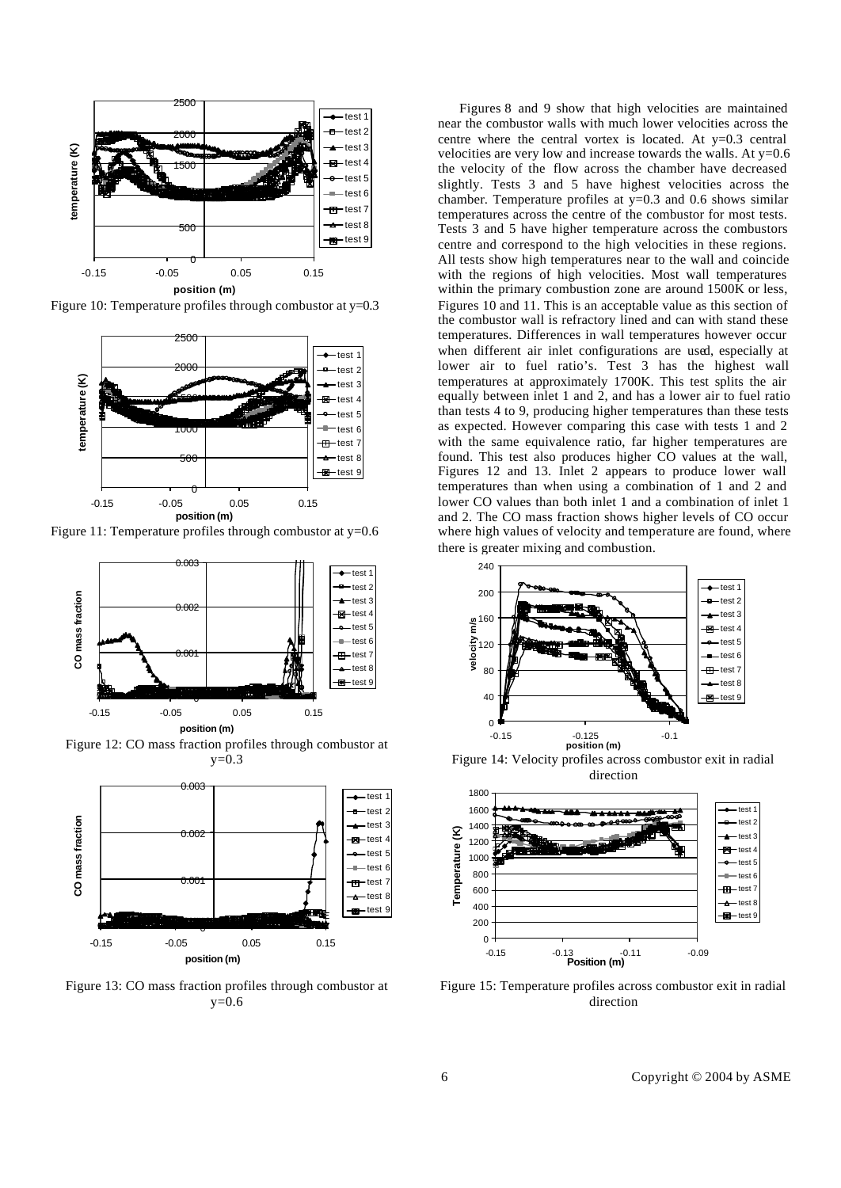![](_page_5_Figure_0.jpeg)

Figure 10: Temperature profiles through combustor at  $y=0.3$ 

![](_page_5_Figure_2.jpeg)

Figure 11: Temperature profiles through combustor at y=0.6

![](_page_5_Figure_4.jpeg)

Figure 12: CO mass fraction profiles through combustor at  $y=0.3$ 

![](_page_5_Figure_6.jpeg)

Figure 13: CO mass fraction profiles through combustor at  $y=0.6$ 

 Figures 8 and 9 show that high velocities are maintained near the combustor walls with much lower velocities across the centre where the central vortex is located. At  $y=0.3$  central velocities are very low and increase towards the walls. At  $y=0.6$ the velocity of the flow across the chamber have decreased slightly. Tests 3 and 5 have highest velocities across the chamber. Temperature profiles at y=0.3 and 0.6 shows similar temperatures across the centre of the combustor for most tests. Tests 3 and 5 have higher temperature across the combustors centre and correspond to the high velocities in these regions. All tests show high temperatures near to the wall and coincide with the regions of high velocities. Most wall temperatures within the primary combustion zone are around 1500K or less, Figures 10 and 11. This is an acceptable value as this section of the combustor wall is refractory lined and can with stand these temperatures. Differences in wall temperatures however occur when different air inlet configurations are used, especially at lower air to fuel ratio's. Test 3 has the highest wall temperatures at approximately 1700K. This test splits the air equally between inlet 1 and 2, and has a lower air to fuel ratio than tests 4 to 9, producing higher temperatures than these tests as expected. However comparing this case with tests 1 and 2 with the same equivalence ratio, far higher temperatures are found. This test also produces higher CO values at the wall, Figures 12 and 13. Inlet 2 appears to produce lower wall temperatures than when using a combination of 1 and 2 and lower CO values than both inlet 1 and a combination of inlet 1 and 2. The CO mass fraction shows higher levels of CO occur where high values of velocity and temperature are found, where there is greater mixing and combustion.

![](_page_5_Figure_9.jpeg)

Figure 14: Velocity profiles across combustor exit in radial direction

![](_page_5_Figure_11.jpeg)

Figure 15: Temperature profiles across combustor exit in radial direction

6 Copyright © 2004 by ASME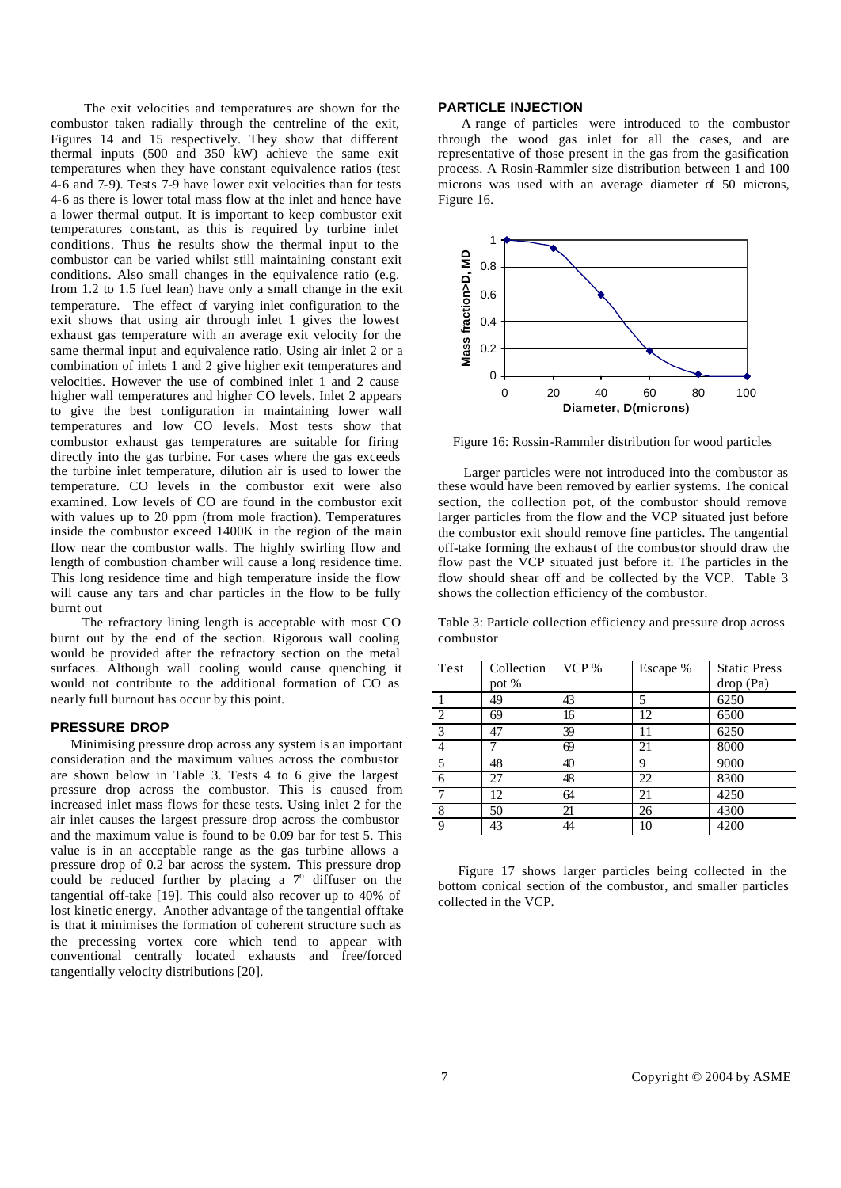The exit velocities and temperatures are shown for the combustor taken radially through the centreline of the exit, Figures 14 and 15 respectively. They show that different thermal inputs (500 and 350 kW) achieve the same exit temperatures when they have constant equivalence ratios (test 4-6 and 7-9). Tests 7-9 have lower exit velocities than for tests 4-6 as there is lower total mass flow at the inlet and hence have a lower thermal output. It is important to keep combustor exit temperatures constant, as this is required by turbine inlet conditions. Thus the results show the thermal input to the combustor can be varied whilst still maintaining constant exit conditions. Also small changes in the equivalence ratio (e.g. from 1.2 to 1.5 fuel lean) have only a small change in the exit temperature. The effect of varying inlet configuration to the exit shows that using air through inlet 1 gives the lowest exhaust gas temperature with an average exit velocity for the same thermal input and equivalence ratio. Using air inlet 2 or a combination of inlets 1 and 2 give higher exit temperatures and velocities. However the use of combined inlet 1 and 2 cause higher wall temperatures and higher CO levels. Inlet 2 appears to give the best configuration in maintaining lower wall temperatures and low CO levels. Most tests show that combustor exhaust gas temperatures are suitable for firing directly into the gas turbine. For cases where the gas exceeds the turbine inlet temperature, dilution air is used to lower the temperature. CO levels in the combustor exit were also examined. Low levels of CO are found in the combustor exit with values up to 20 ppm (from mole fraction). Temperatures inside the combustor exceed 1400K in the region of the main flow near the combustor walls. The highly swirling flow and length of combustion chamber will cause a long residence time. This long residence time and high temperature inside the flow will cause any tars and char particles in the flow to be fully burnt out

 The refractory lining length is acceptable with most CO burnt out by the end of the section. Rigorous wall cooling would be provided after the refractory section on the metal surfaces. Although wall cooling would cause quenching it would not contribute to the additional formation of CO as nearly full burnout has occur by this point.

#### **PRESSURE DROP**

 Minimising pressure drop across any system is an important consideration and the maximum values across the combustor are shown below in Table 3. Tests 4 to 6 give the largest pressure drop across the combustor. This is caused from increased inlet mass flows for these tests. Using inlet 2 for the air inlet causes the largest pressure drop across the combustor and the maximum value is found to be 0.09 bar for test 5. This value is in an acceptable range as the gas turbine allows a pressure drop of 0.2 bar across the system. This pressure drop could be reduced further by placing a  $7^\circ$  diffuser on the tangential off-take [19]. This could also recover up to 40% of lost kinetic energy. Another advantage of the tangential offtake is that it minimises the formation of coherent structure such as the precessing vortex core which tend to appear with conventional centrally located exhausts and free/forced tangentially velocity distributions [20].

## **PARTICLE INJECTION**

 A range of particles were introduced to the combustor through the wood gas inlet for all the cases, and are representative of those present in the gas from the gasification process. A Rosin-Rammler size distribution between 1 and 100 microns was used with an average diameter of 50 microns, Figure 16.

![](_page_6_Figure_6.jpeg)

Figure 16: Rossin-Rammler distribution for wood particles

 Larger particles were not introduced into the combustor as these would have been removed by earlier systems. The conical section, the collection pot, of the combustor should remove larger particles from the flow and the VCP situated just before the combustor exit should remove fine particles. The tangential off-take forming the exhaust of the combustor should draw the flow past the VCP situated just before it. The particles in the flow should shear off and be collected by the VCP. Table 3 shows the collection efficiency of the combustor.

Table 3: Particle collection efficiency and pressure drop across combustor

| Test           | Collection | VCP % | Escape % | <b>Static Press</b> |
|----------------|------------|-------|----------|---------------------|
|                | pot %      |       |          | drop (Pa)           |
|                | 49         | 43    | 5        | 6250                |
| 2              | 69         | 16    | 12       | 6500                |
| $\overline{3}$ | 47         | 39    | 11       | 6250                |
| $\overline{4}$ |            | 69    | 21       | 8000                |
| $\overline{5}$ | 48         | 40    | 9        | 9000                |
| $\overline{6}$ | 27         | 48    | 22       | 8300                |
|                | 12         | 64    | 21       | 4250                |
| 8              | 50         | 21    | 26       | 4300                |
| 9              | 43         | 44    | 10       | 4200                |

 Figure 17 shows larger particles being collected in the bottom conical section of the combustor, and smaller particles collected in the VCP.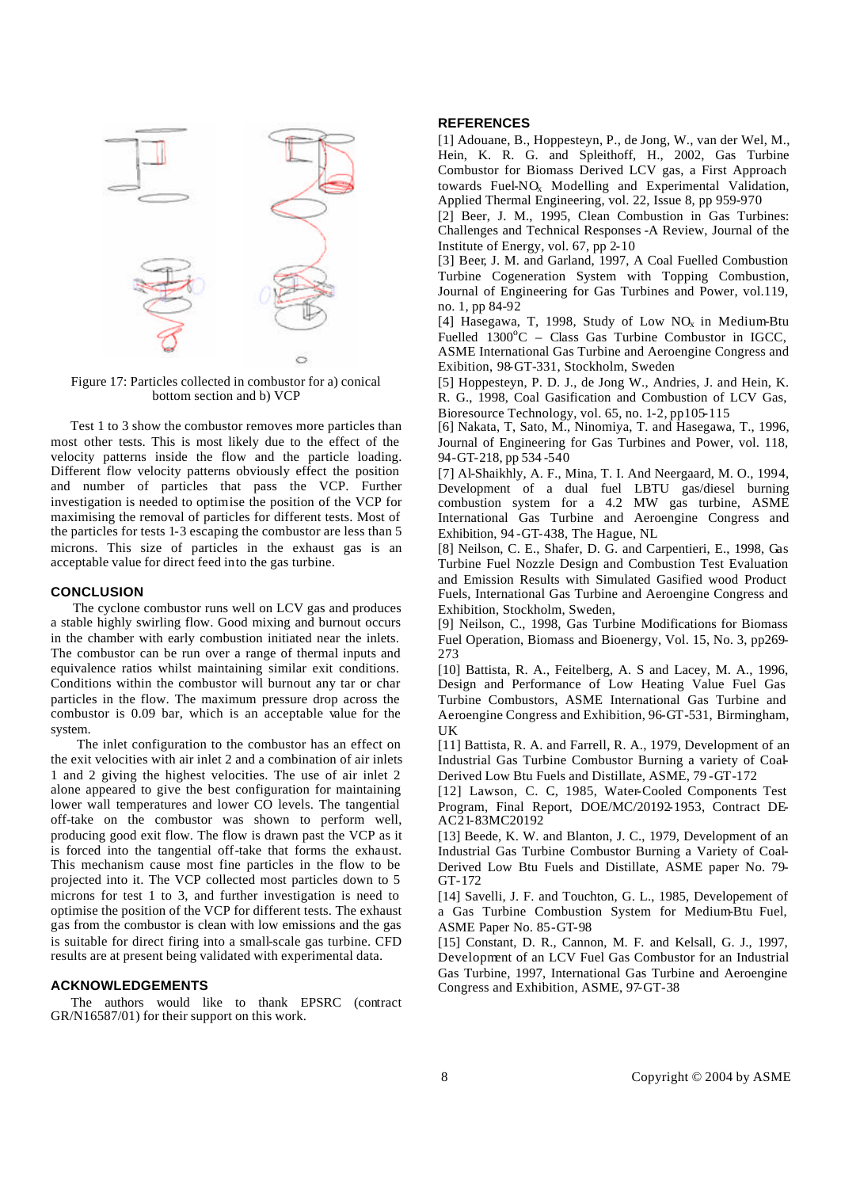![](_page_7_Figure_0.jpeg)

Figure 17: Particles collected in combustor for a) conical bottom section and b) VCP

 Test 1 to 3 show the combustor removes more particles than most other tests. This is most likely due to the effect of the velocity patterns inside the flow and the particle loading. Different flow velocity patterns obviously effect the position and number of particles that pass the VCP. Further investigation is needed to optimise the position of the VCP for maximising the removal of particles for different tests. Most of the particles for tests 1-3 escaping the combustor are less than 5 microns. This size of particles in the exhaust gas is an acceptable value for direct feed into the gas turbine.

#### **CONCLUSION**

 The cyclone combustor runs well on LCV gas and produces a stable highly swirling flow. Good mixing and burnout occurs in the chamber with early combustion initiated near the inlets. The combustor can be run over a range of thermal inputs and equivalence ratios whilst maintaining similar exit conditions. Conditions within the combustor will burnout any tar or char particles in the flow. The maximum pressure drop across the combustor is 0.09 bar, which is an acceptable value for the system.

 The inlet configuration to the combustor has an effect on the exit velocities with air inlet 2 and a combination of air inlets 1 and 2 giving the highest velocities. The use of air inlet 2 alone appeared to give the best configuration for maintaining lower wall temperatures and lower CO levels. The tangential off-take on the combustor was shown to perform well, producing good exit flow. The flow is drawn past the VCP as it is forced into the tangential off-take that forms the exhaust. This mechanism cause most fine particles in the flow to be projected into it. The VCP collected most particles down to 5 microns for test 1 to 3, and further investigation is need to optimise the position of the VCP for different tests. The exhaust gas from the combustor is clean with low emissions and the gas is suitable for direct firing into a small-scale gas turbine. CFD results are at present being validated with experimental data.

#### **ACKNOWLEDGEMENTS**

 The authors would like to thank EPSRC (contract GR/N16587/01) for their support on this work.

#### **REFERENCES**

[1] Adouane, B., Hoppesteyn, P., de Jong, W., van der Wel, M., Hein, K. R. G. and Spleithoff, H., 2002, Gas Turbine Combustor for Biomass Derived LCV gas, a First Approach towards Fuel-NO<sub>x</sub> Modelling and Experimental Validation, Applied Thermal Engineering, vol. 22, Issue 8, pp 959-970

[2] Beer, J. M., 1995, Clean Combustion in Gas Turbines: Challenges and Technical Responses -A Review, Journal of the Institute of Energy, vol. 67, pp 2-10

[3] Beer, J. M. and Garland, 1997, A Coal Fuelled Combustion Turbine Cogeneration System with Topping Combustion, Journal of Engineering for Gas Turbines and Power, vol.119, no. 1, pp 84-92

[4] Hasegawa, T, 1998, Study of Low  $NO<sub>x</sub>$  in Medium-Btu Fuelled  $1300^{\circ}$ C – Class Gas Turbine Combustor in IGCC. ASME International Gas Turbine and Aeroengine Congress and Exibition, 98-GT-331, Stockholm, Sweden

[5] Hoppesteyn, P. D. J., de Jong W., Andries, J. and Hein, K. R. G., 1998, Coal Gasification and Combustion of LCV Gas, Bioresource Technology, vol. 65, no. 1-2, pp105-115

[6] Nakata, T, Sato, M., Ninomiya, T. and Hasegawa, T., 1996, Journal of Engineering for Gas Turbines and Power, vol. 118, 94-GT-218, pp 534 -540

[7] Al-Shaikhly, A. F., Mina, T. I. And Neergaard, M. O., 1994, Development of a dual fuel LBTU gas/diesel burning combustion system for a 4.2 MW gas turbine, ASME International Gas Turbine and Aeroengine Congress and Exhibition, 94 -GT-438, The Hague, NL

[8] Neilson, C. E., Shafer, D. G. and Carpentieri, E., 1998, Gas Turbine Fuel Nozzle Design and Combustion Test Evaluation and Emission Results with Simulated Gasified wood Product Fuels, International Gas Turbine and Aeroengine Congress and Exhibition, Stockholm, Sweden,

[9] Neilson, C., 1998, Gas Turbine Modifications for Biomass Fuel Operation, Biomass and Bioenergy, Vol. 15, No. 3, pp269- 273

[10] Battista, R. A., Feitelberg, A. S and Lacey, M. A., 1996, Design and Performance of Low Heating Value Fuel Gas Turbine Combustors, ASME International Gas Turbine and Aeroengine Congress and Exhibition, 96-GT-531, Birmingham, UK

[11] Battista, R. A. and Farrell, R. A., 1979, Development of an Industrial Gas Turbine Combustor Burning a variety of Coal-Derived Low Btu Fuels and Distillate, ASME, 79 -GT-172

[12] Lawson, C. C, 1985, Water-Cooled Components Test Program, Final Report, DOE/MC/20192-1953, Contract DE-AC21-83MC20192

[13] Beede, K. W. and Blanton, J. C., 1979, Development of an Industrial Gas Turbine Combustor Burning a Variety of Coal-Derived Low Btu Fuels and Distillate, ASME paper No. 79- GT-172

[14] Savelli, J. F. and Touchton, G. L., 1985, Developement of a Gas Turbine Combustion System for Medium-Btu Fuel, ASME Paper No. 85-GT-98

[15] Constant, D. R., Cannon, M. F. and Kelsall, G. J., 1997, Development of an LCV Fuel Gas Combustor for an Industrial Gas Turbine, 1997, International Gas Turbine and Aeroengine Congress and Exhibition, ASME, 97-GT-38